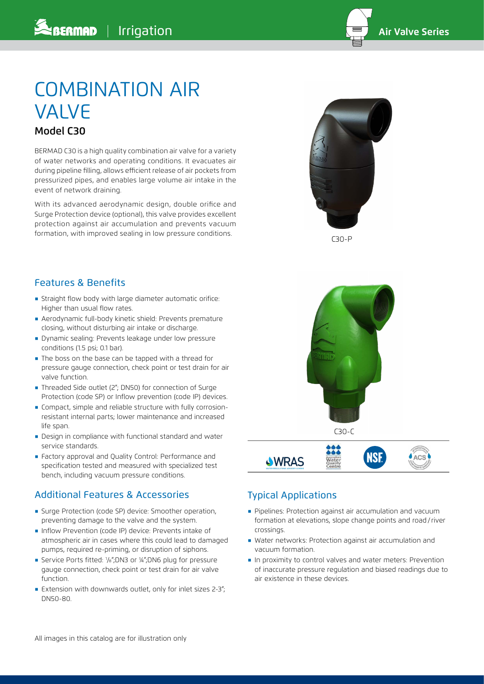

# COMBINATION AIR VALVE Model C30

BERMAD C30 is a high quality combination air valve for a variety of water networks and operating conditions. It evacuates air during pipeline filling, allows efficient release of air pockets from pressurized pipes, and enables large volume air intake in the event of network draining.

With its advanced aerodynamic design, double orifice and Surge Protection device (optional), this valve provides excellent protection against air accumulation and prevents vacuum formation, with improved sealing in low pressure conditions.



C30-P

#### Features & Benefits

- **EXTENDING IN Straight flow body with large diameter automatic orifice:** Higher than usual flow rates.
- ֺ Aerodynamic full-body kinetic shield: Prevents premature closing, without disturbing air intake or discharge.
- ֺ Dynamic sealing: Prevents leakage under low pressure conditions (1.5 psi; 0.1 bar).
- ֺ The boss on the base can be tapped with a thread for pressure gauge connection, check point or test drain for air valve function.
- ֺ Threaded Side outlet (2"; DN50) for connection of Surge Protection (code SP) or Inflow prevention (code IP) devices.
- **Compact, simple and reliable structure with fully corrosion**resistant internal parts; lower maintenance and increased life span.
- ֺ Design in compliance with functional standard and water service standards.
- ֺ Factory approval and Quality Control: Performance and specification tested and measured with specialized test bench, including vacuum pressure conditions.

#### Additional Features & Accessories

- ֺ Surge Protection (code SP) device: Smoother operation, preventing damage to the valve and the system.
- ֺ Inflow Prevention (code IP) device: Prevents intake of atmospheric air in cases where this could lead to damaged pumps, required re-priming, or disruption of siphons.
- ֺ Service Ports fitted: 1 /8";DN3 or ¼";DN6 plug for pressure gauge connection, check point or test drain for air valve function.
- Extension with downwards outlet, only for inlet sizes  $2-3$ "; DN50-80.



## Typical Applications

- ֺ Pipelines: Protection against air accumulation and vacuum formation at elevations, slope change points and road/ river crossings.
- ֺ Water networks: Protection against air accumulation and vacuum formation.
- ֺ In proximity to control valves and water meters: Prevention of inaccurate pressure regulation and biased readings due to air existence in these devices.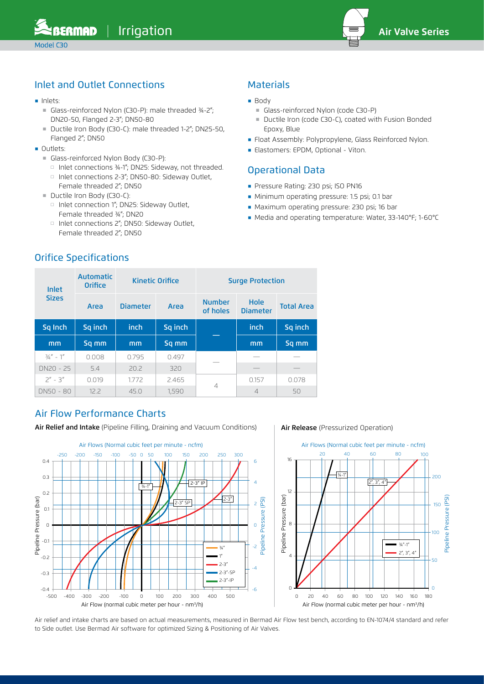

## Inlet and Outlet Connections

- ֺ Inlets:
	- Glass-reinforced Nylon (C30-P): male threaded ¾-2"; DN20-50, Flanged 2-3"; DN50-80
	- Ductile Iron Body (C30-C): male threaded 1-2"; DN25-50, Flanged 2"; DN50
- ֺ Outlets:
	- ■ Glass-reinforced Nylon Body (C30-P):
		- □ Inlet connections ¾-1"; DN25: Sideway, not threaded.
		- □ Inlet connections 2-3"; DN50-80: Sideway Outlet, Female threaded 2"; DN50
	- Ductile Iron Body (C30-C):
		- □ Inlet connection 1"; DN25: Sideway Outlet, Female threaded ¾"; DN20
		- □ Inlet connections 2"; DN50: Sideway Outlet, Female threaded 2"; DN50

## **Materials**

- Body
	- Glass-reinforced Nylon (code C30-P)
	- Ductile Iron (code C30-C), coated with Fusion Bonded Epoxy, Blue
- ֺ Float Assembly: Polypropylene, Glass Reinforced Nylon.
- ֺ Elastomers: EPDM, Optional Viton.

#### Operational Data

- **Pressure Rating: 230 psi; ISO PN16**
- ֺ Minimum operating pressure: 1.5 psi; 0.1 bar
- ֺ Maximum operating pressure: 230 psi; 16 bar
- ֺ Media and operating temperature: Water, 33-140°F; 1-60°C

| Inlet<br><b>Sizes</b> | <b>Automatic</b><br><b>Orifice</b> |                 | <b>Kinetic Orifice</b> | <b>Surge Protection</b>   |                         |                   |  |
|-----------------------|------------------------------------|-----------------|------------------------|---------------------------|-------------------------|-------------------|--|
|                       | Area                               | <b>Diameter</b> | Area                   | <b>Number</b><br>of holes | Hole<br><b>Diameter</b> | <b>Total Area</b> |  |
| Sq Inch               | Sq inch                            | inch            | Sq inch                |                           | inch                    | Sq inch           |  |
| mm                    | Sq mm                              | mm              | Sq mm                  |                           | mm                      | Sq mm             |  |
| $\frac{3}{4}$ " - 1"  | 0.008                              | 0.795           | 0.497                  |                           |                         |                   |  |
| DN20 - 25             | 5.4                                | 20.2            | 320                    |                           |                         |                   |  |
| $7'' - 3''$           | 0.019                              | 1772            | 2.465                  |                           | 0.157                   | 0.078             |  |
| DN50 - 80             | 12.2                               | 45.0            | 1,590                  | $\overline{4}$            | $\overline{4}$          | 50                |  |

## Air Flow Performance Charts

Air Relief and Intake (Pipeline Filling, Draining and Vacuum Conditions) | Air Release (Pressurized Operation)



Air relief and intake charts are based on actual measurements, measured in Bermad Air Flow test bench, according to EN-1074/4 standard and refer to Side outlet. Use Bermad Air software for optimized Sizing & Positioning of Air Valves.

## Orifice Specifications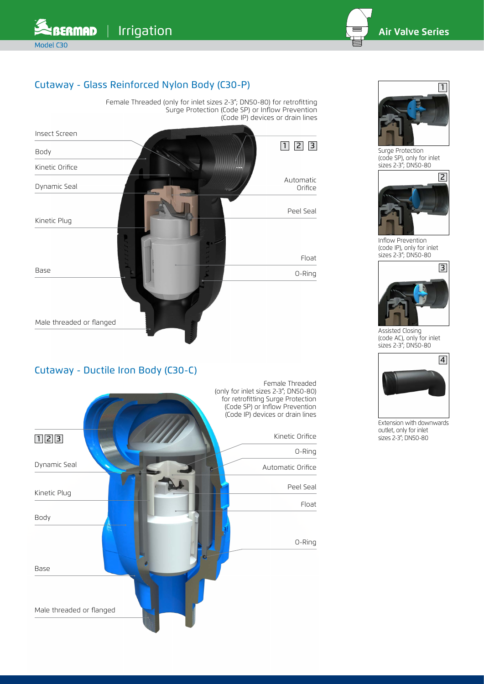

## Cutaway - Glass Reinforced Nylon Body (C30-P)

Female Threaded (only for inlet sizes 2-3"; DN50-80) for retrofitting Surge Protection (Code SP) or Inflow Prevention (Code IP) devices or drain lines



## Cutaway - Ductile Iron Body (C30-C)





Surge Protection (code SP), only for inlet sizes 2-3"; DN50-80



Inflow Prevention (code IP), only for inlet sizes 2-3"; DN50-80



Assisted Closing (code AC), only for inlet sizes 2-3"; DN50-80



Extension with downwards outlet, only for inlet sizes 2-3"; DN50-80